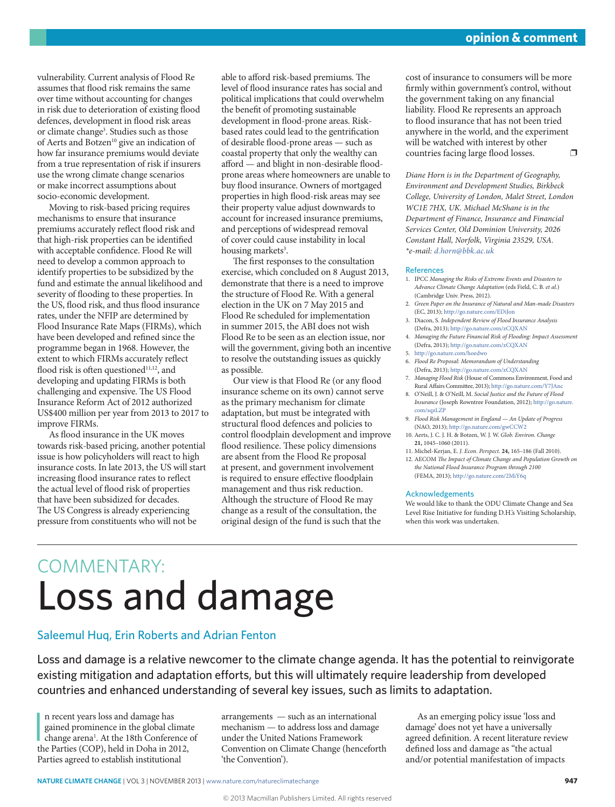vulnerability. Current analysis of Flood Re assumes that flood risk remains the same over time without accounting for changes in risk due to deterioration of existing flood defences, development in flood risk areas or climate change<sup>3</sup>. Studies such as those of Aerts and Botzen<sup>10</sup> give an indication of how far insurance premiums would deviate from a true representation of risk if insurers use the wrong climate change scenarios or make incorrect assumptions about socio-economic development.

Moving to risk-based pricing requires mechanisms to ensure that insurance premiums accurately reflect flood risk and that high-risk properties can be identified with acceptable confidence. Flood Re will need to develop a common approach to identify properties to be subsidized by the fund and estimate the annual likelihood and severity of flooding to these properties. In the US, flood risk, and thus flood insurance rates, under the NFIP are determined by Flood Insurance Rate Maps (FIRMs), which have been developed and refined since the programme began in 1968. However, the extent to which FIRMs accurately reflect flood risk is often questioned $11,12$ , and developing and updating FIRMs is both challenging and expensive. The US Flood Insurance Reform Act of 2012 authorized US\$400 million per year from 2013 to 2017 to improve FIRMs.

As flood insurance in the UK moves towards risk-based pricing, another potential issue is how policyholders will react to high insurance costs. In late 2013, the US will start increasing flood insurance rates to reflect the actual level of flood risk of properties that have been subsidized for decades. The US Congress is already experiencing pressure from constituents who will not be

able to afford risk-based premiums. The level of flood insurance rates has social and political implications that could overwhelm the benefit of promoting sustainable development in flood-prone areas. Riskbased rates could lead to the gentrification of desirable flood-prone areas — such as coastal property that only the wealthy can afford — and blight in non-desirable floodprone areas where homeowners are unable to buy flood insurance. Owners of mortgaged properties in high flood-risk areas may see their property value adjust downwards to account for increased insurance premiums, and perceptions of widespread removal of cover could cause instability in local housing markets<sup>3</sup>.

The first responses to the consultation exercise, which concluded on 8 August 2013, demonstrate that there is a need to improve the structure of Flood Re. With a general election in the UK on 7 May 2015 and Flood Re scheduled for implementation in summer 2015, the ABI does not wish Flood Re to be seen as an election issue, nor will the government, giving both an incentive to resolve the outstanding issues as quickly as possible.

Our view is that Flood Re (or any flood insurance scheme on its own) cannot serve as the primary mechanism for climate adaptation, but must be integrated with structural flood defences and policies to control floodplain development and improve flood resilience. These policy dimensions are absent from the Flood Re proposal at present, and government involvement is required to ensure effective floodplain management and thus risk reduction. Although the structure of Flood Re may change as a result of the consultation, the original design of the fund is such that the

cost of insurance to consumers will be more firmly within government's control, without the government taking on any financial liability. Flood Re represents an approach to flood insurance that has not been tried anywhere in the world, and the experiment will be watched with interest by other countries facing large flood losses.  $\square$ 

*Diane Horn is in the Department of Geography, Environment and Development Studies, Birkbeck College, University of London, Malet Street, London WC1E 7HX, UK. Michael McShane is in the Department of Finance, Insurance and Financial Services Center, Old Dominion University, 2026 Constant Hall, Norfolk, Virginia 23529, USA. \*e-mail: [d.horn@bbk.ac.uk](mailto: d.horn@bbk.ac.uk)*

#### References

- 1. IPCC *Managing the Risks of Extreme Events and Disasters to Advance Climate Change Adaptation* (eds Field, C. B. *et al.*) (Cambridge Univ. Press, 2012).
- 2. *Green Paper on the Insurance of Natural and Man-made Disasters* (EC, 2013); <http://go.nature.com/EDiJon>
- 3. Diacon, S. *Independent Review of Flood Insurance Analysis* (Defra, 2013);<http://go.nature.com/zCQXAN>
- 4. *Managing the Future Financial Risk of Flooding: Impact Assessment* (Defra, 2013);<http://go.nature.com/zCQXAN>
- 5. http://go.nature.com/hoedwo
- 6. *Flood Re Proposal: Memorandum of Understanding* (Defra, 2013);<http://go.nature.com/zCQXAN>
- 7. *Managing Flood Risk* (House of Commons Environment, Food and Rural Affairs Committee, 2013); <http://go.nature.com/Y7JAnc>
- 8. O'Neill, J. & O'Neill, M. *Social Justice and the Future of Flood Insurance* (Joseph Rowntree Foundation, 2012); [http://go.nature.](http://dx.doi.org/10.1007/s00382-013-1676-1)
- [com/sqzLZP](http://dx.doi.org/10.1007/s00382-013-1676-1) 9. *Flood Risk Management in England — An Update of Progress*
- (NAO, 2013); <http://go.nature.com/gwCCW2> 10. Aerts, J. C. J. H. & Botzen, W. J. W. *Glob. Environ. Change*
- **21,** 1045–1060 (2011).
- 11. Michel-Kerjan, E. *J. Econ. Perspect.* **24,** 165–186 (Fall 2010). 12. AECOM *The Impact of Climate Change and Population Growth on*
- *the National Flood Insurance Program through 2100* (FEMA, 2013); <http://go.nature.com/2MiY6q>

#### Acknowledgements

We would like to thank the ODU Climate Change and Sea Level Rise Initiative for funding D.H.'s Visiting Scholarship, when this work was undertaken.

# COMMENTARY: Loss and damage

# Saleemul Huq, Erin Roberts and Adrian Fenton

Loss and damage is a relative newcomer to the climate change agenda. It has the potential to reinvigorate existing mitigation and adaptation efforts, but this will ultimately require leadership from developed countries and enhanced understanding of several key issues, such as limits to adaptation.

In recent years loss and damage has<br>gained prominence in the global climat<br>change arena<sup>1</sup>. At the 18th Conference of<br>the Parties (COP), held in Doha in 2012, n recent years loss and damage has gained prominence in the global climate change arena<sup>1</sup>. At the 18th Conference of Parties agreed to establish institutional

arrangements — such as an international mechanism — to address loss and damage under the United Nations Framework Convention on Climate Change (henceforth 'the Convention').

As an emerging policy issue 'loss and damage' does not yet have a universally agreed definition. A recent literature review defined loss and damage as "the actual and/or potential manifestation of impacts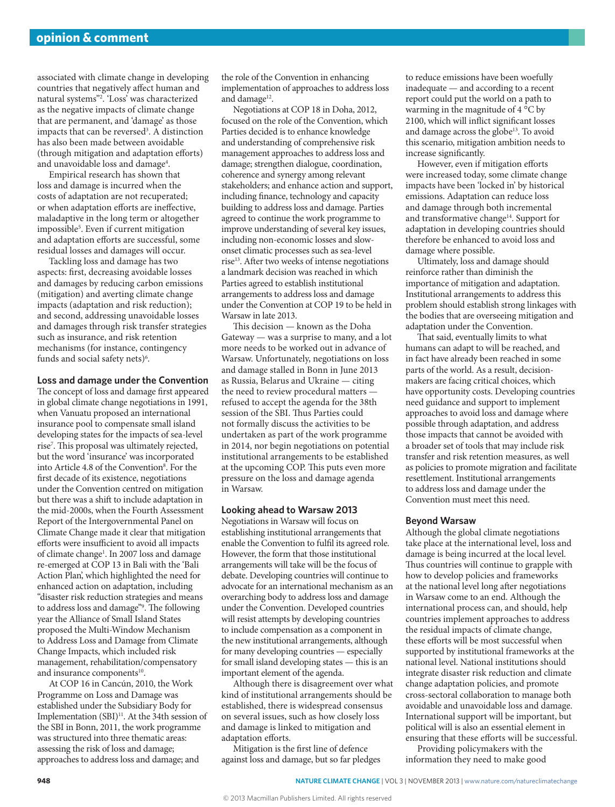associated with climate change in developing countries that negatively affect human and natural systems"2 . 'Loss' was characterized as the negative impacts of climate change that are permanent, and 'damage' as those impacts that can be reversed<sup>3</sup>. A distinction has also been made between avoidable (through mitigation and adaptation efforts) and unavoidable loss and damage<sup>4</sup>.

Empirical research has shown that loss and damage is incurred when the costs of adaptation are not recuperated; or when adaptation efforts are ineffective, maladaptive in the long term or altogether impossible5 . Even if current mitigation and adaptation efforts are successful, some residual losses and damages will occur.

Tackling loss and damage has two aspects: first, decreasing avoidable losses and damages by reducing carbon emissions (mitigation) and averting climate change impacts (adaptation and risk reduction); and second, addressing unavoidable losses and damages through risk transfer strategies such as insurance, and risk retention mechanisms (for instance, contingency funds and social safety nets) $6$ .

# **Loss and damage under the Convention**

The concept of loss and damage first appeared in global climate change negotiations in 1991, when Vanuatu proposed an international insurance pool to compensate small island developing states for the impacts of sea-level rise7 . This proposal was ultimately rejected, but the word 'insurance' was incorporated into Article 4.8 of the Convention<sup>8</sup>. For the first decade of its existence, negotiations under the Convention centred on mitigation but there was a shift to include adaptation in the mid-2000s, when the Fourth Assessment Report of the Intergovernmental Panel on Climate Change made it clear that mitigation efforts were insufficient to avoid all impacts of climate change<sup>1</sup>. In 2007 loss and damage re-emerged at COP 13 in Bali with the 'Bali Action Plan', which highlighted the need for enhanced action on adaptation, including "disaster risk reduction strategies and means to address loss and damage"9 . The following year the Alliance of Small Island States proposed the Multi-Window Mechanism to Address Loss and Damage from Climate Change Impacts, which included risk management, rehabilitation/compensatory and insurance components<sup>10</sup>.

At COP 16 in Cancún, 2010, the Work Programme on Loss and Damage was established under the Subsidiary Body for Implementation (SBI)<sup>11</sup>. At the 34th session of the SBI in Bonn, 2011, the work programme was structured into three thematic areas: assessing the risk of loss and damage; approaches to address loss and damage; and

the role of the Convention in enhancing implementation of approaches to address loss and damage<sup>12</sup>.

Negotiations at COP 18 in Doha, 2012, focused on the role of the Convention, which Parties decided is to enhance knowledge and understanding of comprehensive risk management approaches to address loss and damage; strengthen dialogue, coordination, coherence and synergy among relevant stakeholders; and enhance action and support, including finance, technology and capacity building to address loss and damage. Parties agreed to continue the work programme to improve understanding of several key issues, including non-economic losses and slowonset climatic processes such as sea-level rise13. After two weeks of intense negotiations a landmark decision was reached in which Parties agreed to establish institutional arrangements to address loss and damage under the Convention at COP 19 to be held in Warsaw in late 2013.

This decision — known as the Doha Gateway — was a surprise to many, and a lot more needs to be worked out in advance of Warsaw. Unfortunately, negotiations on loss and damage stalled in Bonn in June 2013 as Russia, Belarus and Ukraine — citing the need to review procedural matters refused to accept the agenda for the 38th session of the SBI. Thus Parties could not formally discuss the activities to be undertaken as part of the work programme in 2014, nor begin negotiations on potential institutional arrangements to be established at the upcoming COP. This puts even more pressure on the loss and damage agenda in Warsaw.

## **Looking ahead to Warsaw 2013**

Negotiations in Warsaw will focus on establishing institutional arrangements that enable the Convention to fulfil its agreed role. However, the form that those institutional arrangements will take will be the focus of debate. Developing countries will continue to advocate for an international mechanism as an overarching body to address loss and damage under the Convention. Developed countries will resist attempts by developing countries to include compensation as a component in the new institutional arrangements, although for many developing countries — especially for small island developing states — this is an important element of the agenda.

Although there is disagreement over what kind of institutional arrangements should be established, there is widespread consensus on several issues, such as how closely loss and damage is linked to mitigation and adaptation efforts.

Mitigation is the first line of defence against loss and damage, but so far pledges

to reduce emissions have been woefully inadequate — and according to a recent report could put the world on a path to warming in the magnitude of 4 °C by 2100, which will inflict significant losses and damage across the globe<sup>13</sup>. To avoid this scenario, mitigation ambition needs to increase significantly.

However, even if mitigation efforts were increased today, some climate change impacts have been 'locked in' by historical emissions. Adaptation can reduce loss and damage through both incremental and transformative change<sup>14</sup>. Support for adaptation in developing countries should therefore be enhanced to avoid loss and damage where possible.

Ultimately, loss and damage should reinforce rather than diminish the importance of mitigation and adaptation. Institutional arrangements to address this problem should establish strong linkages with the bodies that are overseeing mitigation and adaptation under the Convention.

That said, eventually limits to what humans can adapt to will be reached, and in fact have already been reached in some parts of the world. As a result, decisionmakers are facing critical choices, which have opportunity costs. Developing countries need guidance and support to implement approaches to avoid loss and damage where possible through adaptation, and address those impacts that cannot be avoided with a broader set of tools that may include risk transfer and risk retention measures, as well as policies to promote migration and facilitate resettlement. Institutional arrangements to address loss and damage under the Convention must meet this need.

#### **Beyond Warsaw**

Although the global climate negotiations take place at the international level, loss and damage is being incurred at the local level. Thus countries will continue to grapple with how to develop policies and frameworks at the national level long after negotiations in Warsaw come to an end. Although the international process can, and should, help countries implement approaches to address the residual impacts of climate change, these efforts will be most successful when supported by institutional frameworks at the national level. National institutions should integrate disaster risk reduction and climate change adaptation policies, and promote cross-sectoral collaboration to manage both avoidable and unavoidable loss and damage. International support will be important, but political will is also an essential element in ensuring that these efforts will be successful.

Providing policymakers with the information they need to make good